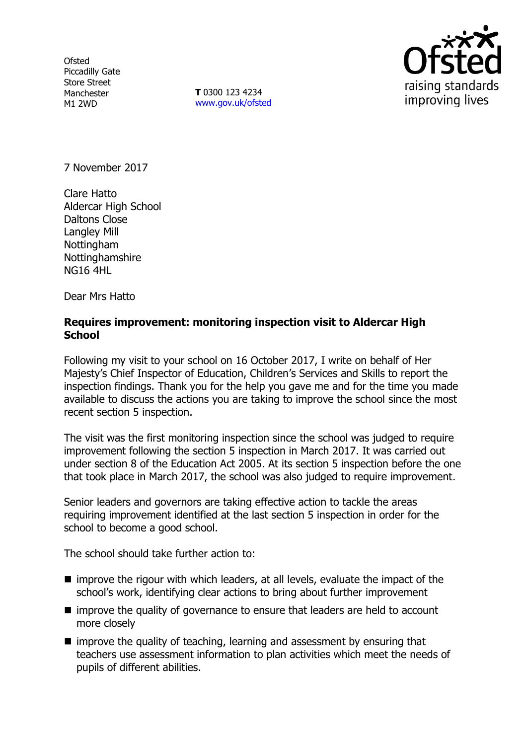**Ofsted** Piccadilly Gate Store Street Manchester M1 2WD

**T** 0300 123 4234 www.gov.uk/ofsted



7 November 2017

Clare Hatto Aldercar High School Daltons Close Langley Mill **Nottingham** Nottinghamshire NG16 4HL

Dear Mrs Hatto

# **Requires improvement: monitoring inspection visit to Aldercar High School**

Following my visit to your school on 16 October 2017, I write on behalf of Her Majesty's Chief Inspector of Education, Children's Services and Skills to report the inspection findings. Thank you for the help you gave me and for the time you made available to discuss the actions you are taking to improve the school since the most recent section 5 inspection.

The visit was the first monitoring inspection since the school was judged to require improvement following the section 5 inspection in March 2017. It was carried out under section 8 of the Education Act 2005. At its section 5 inspection before the one that took place in March 2017, the school was also judged to require improvement.

Senior leaders and governors are taking effective action to tackle the areas requiring improvement identified at the last section 5 inspection in order for the school to become a good school.

The school should take further action to:

- $\blacksquare$  improve the rigour with which leaders, at all levels, evaluate the impact of the school's work, identifying clear actions to bring about further improvement
- improve the quality of governance to ensure that leaders are held to account more closely
- improve the quality of teaching, learning and assessment by ensuring that teachers use assessment information to plan activities which meet the needs of pupils of different abilities.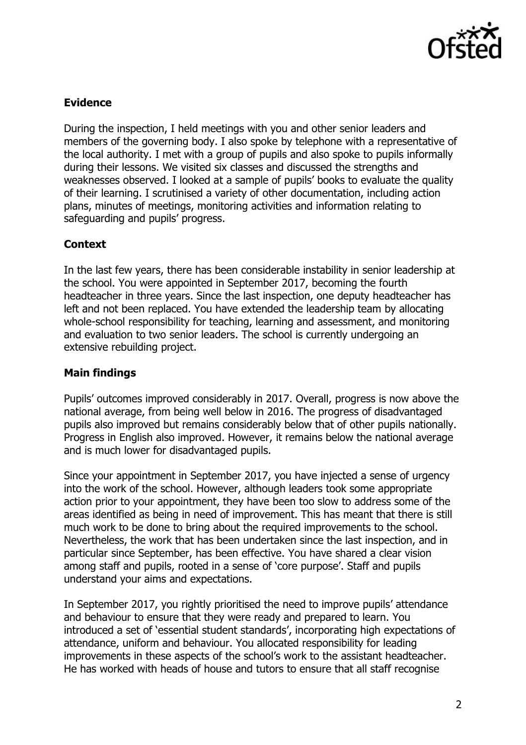

# **Evidence**

During the inspection, I held meetings with you and other senior leaders and members of the governing body. I also spoke by telephone with a representative of the local authority. I met with a group of pupils and also spoke to pupils informally during their lessons. We visited six classes and discussed the strengths and weaknesses observed. I looked at a sample of pupils' books to evaluate the quality of their learning. I scrutinised a variety of other documentation, including action plans, minutes of meetings, monitoring activities and information relating to safeguarding and pupils' progress.

### **Context**

In the last few years, there has been considerable instability in senior leadership at the school. You were appointed in September 2017, becoming the fourth headteacher in three years. Since the last inspection, one deputy headteacher has left and not been replaced. You have extended the leadership team by allocating whole-school responsibility for teaching, learning and assessment, and monitoring and evaluation to two senior leaders. The school is currently undergoing an extensive rebuilding project.

# **Main findings**

Pupils' outcomes improved considerably in 2017. Overall, progress is now above the national average, from being well below in 2016. The progress of disadvantaged pupils also improved but remains considerably below that of other pupils nationally. Progress in English also improved. However, it remains below the national average and is much lower for disadvantaged pupils.

Since your appointment in September 2017, you have injected a sense of urgency into the work of the school. However, although leaders took some appropriate action prior to your appointment, they have been too slow to address some of the areas identified as being in need of improvement. This has meant that there is still much work to be done to bring about the required improvements to the school. Nevertheless, the work that has been undertaken since the last inspection, and in particular since September, has been effective. You have shared a clear vision among staff and pupils, rooted in a sense of 'core purpose'. Staff and pupils understand your aims and expectations.

In September 2017, you rightly prioritised the need to improve pupils' attendance and behaviour to ensure that they were ready and prepared to learn. You introduced a set of 'essential student standards', incorporating high expectations of attendance, uniform and behaviour. You allocated responsibility for leading improvements in these aspects of the school's work to the assistant headteacher. He has worked with heads of house and tutors to ensure that all staff recognise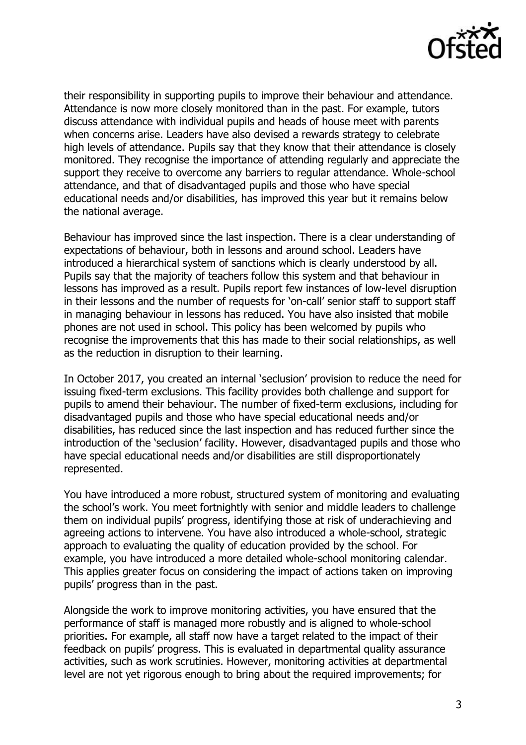

their responsibility in supporting pupils to improve their behaviour and attendance. Attendance is now more closely monitored than in the past. For example, tutors discuss attendance with individual pupils and heads of house meet with parents when concerns arise. Leaders have also devised a rewards strategy to celebrate high levels of attendance. Pupils say that they know that their attendance is closely monitored. They recognise the importance of attending regularly and appreciate the support they receive to overcome any barriers to regular attendance. Whole-school attendance, and that of disadvantaged pupils and those who have special educational needs and/or disabilities, has improved this year but it remains below the national average.

Behaviour has improved since the last inspection. There is a clear understanding of expectations of behaviour, both in lessons and around school. Leaders have introduced a hierarchical system of sanctions which is clearly understood by all. Pupils say that the majority of teachers follow this system and that behaviour in lessons has improved as a result. Pupils report few instances of low-level disruption in their lessons and the number of requests for 'on-call' senior staff to support staff in managing behaviour in lessons has reduced. You have also insisted that mobile phones are not used in school. This policy has been welcomed by pupils who recognise the improvements that this has made to their social relationships, as well as the reduction in disruption to their learning.

In October 2017, you created an internal 'seclusion' provision to reduce the need for issuing fixed-term exclusions. This facility provides both challenge and support for pupils to amend their behaviour. The number of fixed-term exclusions, including for disadvantaged pupils and those who have special educational needs and/or disabilities, has reduced since the last inspection and has reduced further since the introduction of the 'seclusion' facility. However, disadvantaged pupils and those who have special educational needs and/or disabilities are still disproportionately represented.

You have introduced a more robust, structured system of monitoring and evaluating the school's work. You meet fortnightly with senior and middle leaders to challenge them on individual pupils' progress, identifying those at risk of underachieving and agreeing actions to intervene. You have also introduced a whole-school, strategic approach to evaluating the quality of education provided by the school. For example, you have introduced a more detailed whole-school monitoring calendar. This applies greater focus on considering the impact of actions taken on improving pupils' progress than in the past.

Alongside the work to improve monitoring activities, you have ensured that the performance of staff is managed more robustly and is aligned to whole-school priorities. For example, all staff now have a target related to the impact of their feedback on pupils' progress. This is evaluated in departmental quality assurance activities, such as work scrutinies. However, monitoring activities at departmental level are not yet rigorous enough to bring about the required improvements; for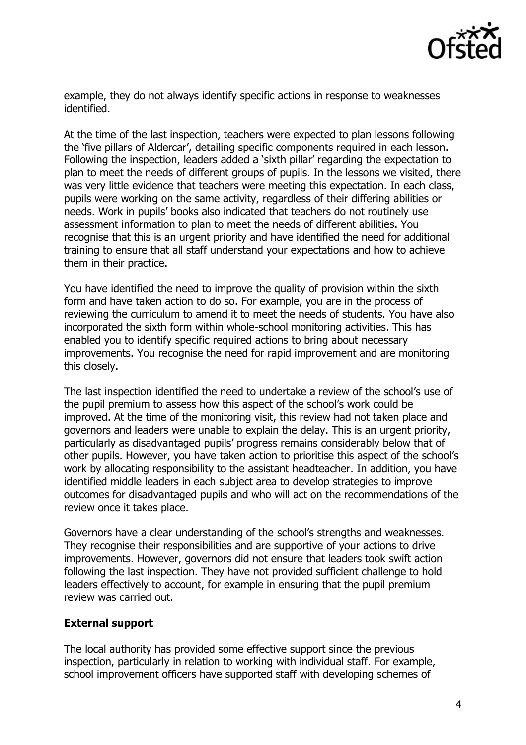

example, they do not always identify specific actions in response to weaknesses identified.

At the time of the last inspection, teachers were expected to plan lessons following the 'five pillars of Aldercar', detailing specific components required in each lesson. Following the inspection, leaders added a 'sixth pillar' regarding the expectation to plan to meet the needs of different groups of pupils. In the lessons we visited, there was very little evidence that teachers were meeting this expectation. In each class, pupils were working on the same activity, regardless of their differing abilities or needs. Work in pupils' books also indicated that teachers do not routinely use assessment information to plan to meet the needs of different abilities. You recognise that this is an urgent priority and have identified the need for additional training to ensure that all staff understand your expectations and how to achieve them in their practice.

You have identified the need to improve the quality of provision within the sixth form and have taken action to do so. For example, you are in the process of reviewing the curriculum to amend it to meet the needs of students. You have also incorporated the sixth form within whole-school monitoring activities. This has enabled you to identify specific required actions to bring about necessary improvements. You recognise the need for rapid improvement and are monitoring this closely.

The last inspection identified the need to undertake a review of the school's use of the pupil premium to assess how this aspect of the school's work could be improved. At the time of the monitoring visit, this review had not taken place and governors and leaders were unable to explain the delay. This is an urgent priority, particularly as disadvantaged pupils' progress remains considerably below that of other pupils. However, you have taken action to prioritise this aspect of the school's work by allocating responsibility to the assistant headteacher. In addition, you have identified middle leaders in each subject area to develop strategies to improve outcomes for disadvantaged pupils and who will act on the recommendations of the review once it takes place.

Governors have a clear understanding of the school's strengths and weaknesses. They recognise their responsibilities and are supportive of your actions to drive improvements. However, governors did not ensure that leaders took swift action following the last inspection. They have not provided sufficient challenge to hold leaders effectively to account, for example in ensuring that the pupil premium review was carried out.

### **External support**

The local authority has provided some effective support since the previous inspection, particularly in relation to working with individual staff. For example, school improvement officers have supported staff with developing schemes of